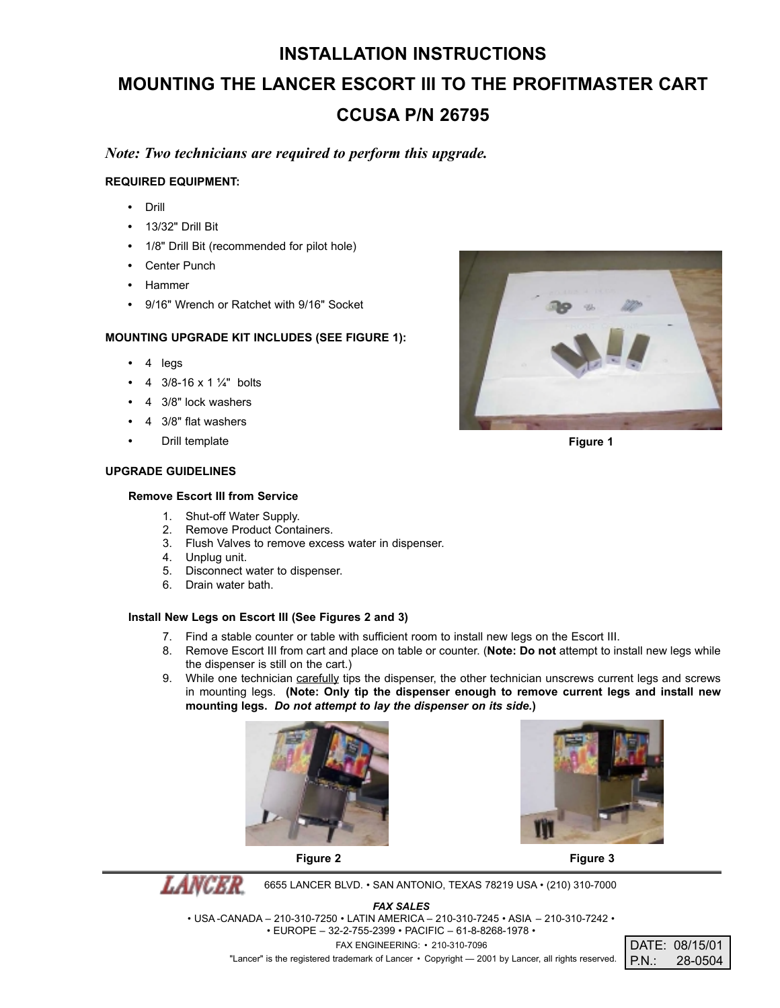# **INSTALLATION INSTRUCTIONS MOUNTING THE LANCER ESCORT III TO THE PROFITMASTER CART CCUSA P/N 26795**

## *Note: Two technicians are required to perform this upgrade.*

#### **REQUIRED EQUIPMENT:**

- **•** Drill
- **•** 13/32" Drill Bit
- **•** 1/8" Drill Bit (recommended for pilot hole)
- **•** Center Punch
- **•** Hammer
- **•** 9/16" Wrench or Ratchet with 9/16" Socket

### **MOUNTING UPGRADE KIT INCLUDES (SEE FIGURE 1):**

- **•** 4 legs
- **•** 4 3/8-16 x 1 ¼" bolts
- **•** 4 3/8" lock washers
- **•** 4 3/8" flat washers
- **•** Drill template

#### **UPGRADE GUIDELINES**

#### **Remove Escort III from Service**

- 1. Shut-off Water Supply.
- 2. Remove Product Containers.
- 3. Flush Valves to remove excess water in dispenser.
- 4. Unplug unit.
- Disconnect water to dispenser. 5. Disconnect water<br>6. Drain water bath.
- 

#### **Install New Legs on Escort III (See Figures 2 and 3)**

- 7. Find a stable counter or table with sufficient room to install new legs on the Escort III.
- 8. Remove Escort III from cart and place on table or counter. (**Note: Do not** attempt to install new legs while the dispenser is still on the cart.)
- 9. While one technician carefully tips the dispenser, the other technician unscrews current legs and screws in mounting legs. **(Note: Only tip the dispenser enough to remove current legs and install new mounting legs.** *Do not attempt to lay the dispenser on its side.***)**





**LANCER** 6655 LANCER BLVD. • SAN ANTONIO, TEXAS 78219 USA • (210) 310-7000

*FAX SALES*

• USA -CANADA – 210-310-7250 • LATIN AMERICA – 210-310-7245 • ASIA – 210-310-7242 •

• EUROPE – 32-2-755-2399 • PACIFIC – 61-8-8268-1978 •

FAX ENGINEERING: • 210-310-7096

"Lancer" is the registered trademark of Lancer • Copyright - 2001 by Lancer, all rights reserved.



**Figure 1**